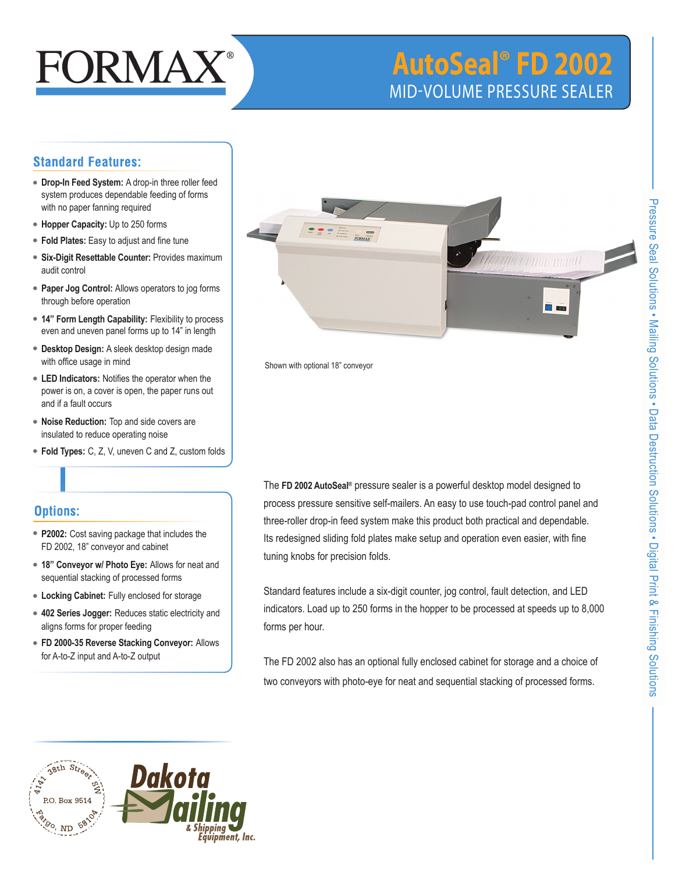

# **AutoSeal® FD 2002** mid-volume Pressure sealer

## **Standard Features:**

- **Drop-In Feed System:** A drop-in three roller feed system produces dependable feeding of forms with no paper fanning required
- **Hopper Capacity:** Up to 250 forms
- **Fold Plates:** Easy to adjust and fine tune
- **Six-Digit Resettable Counter:** Provides maximum audit control
- **Paper Jog Control:** Allows operators to jog forms through before operation
- **14" Form Length Capability:** Flexibility to process even and uneven panel forms up to 14" in length
- **Desktop Design:** A sleek desktop design made with office usage in mind
- **LED Indicators:** Notifies the operator when the power is on, a cover is open, the paper runs out and if a fault occurs
- **Noise Reduction:** Top and side covers are insulated to reduce operating noise
- **Fold Types:** C, Z, V, uneven C and Z, custom folds

### **Options:**

- **P2002:** Cost saving package that includes the FD 2002, 18" conveyor and cabinet
- **18" Conveyor w/ Photo Eye:** Allows for neat and sequential stacking of processed forms
- **Locking Cabinet:** Fully enclosed for storage
- **402 Series Jogger:** Reduces static electricity and aligns forms for proper feeding
- **FD 2000-35 Reverse Stacking Conveyor:** Allows for A-to-Z input and A-to-Z output



Shown with optional 18" conveyor

The **FD 2002 AutoSeal®** pressure sealer is a powerful desktop model designed to process pressure sensitive self-mailers. An easy to use touch-pad control panel and three-roller drop-in feed system make this product both practical and dependable. Its redesigned sliding fold plates make setup and operation even easier, with fine tuning knobs for precision folds.

Standard features include a six-digit counter, jog control, fault detection, and LED indicators. Load up to 250 forms in the hopper to be processed at speeds up to 8,000 forms per hour.

The FD 2002 also has an optional fully enclosed cabinet for storage and a choice of two conveyors with photo-eye for neat and sequential stacking of processed forms.